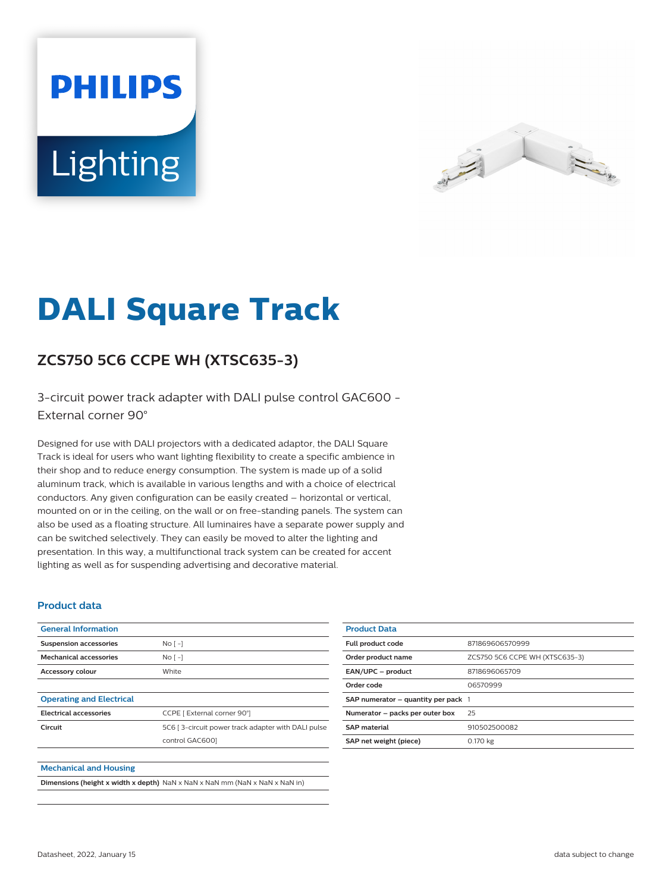# **PHILIPS** Lighting



# **DALI Square Track**

## **ZCS750 5C6 CCPE WH (XTSC635-3)**

3-circuit power track adapter with DALI pulse control GAC600 - External corner 90°

Designed for use with DALI projectors with a dedicated adaptor, the DALI Square Track is ideal for users who want lighting flexibility to create a specific ambience in their shop and to reduce energy consumption. The system is made up of a solid aluminum track, which is available in various lengths and with a choice of electrical conductors. Any given configuration can be easily created – horizontal or vertical, mounted on or in the ceiling, on the wall or on free-standing panels. The system can also be used as a floating structure. All luminaires have a separate power supply and can be switched selectively. They can easily be moved to alter the lighting and presentation. In this way, a multifunctional track system can be created for accent lighting as well as for suspending advertising and decorative material.

#### **Product data**

| <b>General Information</b>      |                                                    |
|---------------------------------|----------------------------------------------------|
| <b>Suspension accessories</b>   | No <sub>1</sub>                                    |
| <b>Mechanical accessories</b>   | No <sub>1</sub>                                    |
| <b>Accessory colour</b>         | White                                              |
|                                 |                                                    |
| <b>Operating and Electrical</b> |                                                    |
| <b>Electrical accessories</b>   | CCPE   External corner 90°]                        |
| Circuit                         | 5C6 [3-circuit power track adapter with DALI pulse |
|                                 | control GAC6001                                    |
|                                 |                                                    |
| <b>Mechanical and Housing</b>   |                                                    |

**Dimensions (height x width x depth)** NaN x NaN x NaN mm (NaN x NaN x NaN in)

| <b>Product Data</b>                     |                                |
|-----------------------------------------|--------------------------------|
| Full product code                       | 871869606570999                |
| Order product name                      | ZCS750 5C6 CCPE WH (XTSC635-3) |
| EAN/UPC - product                       | 8718696065709                  |
| Order code                              | 06570999                       |
| SAP numerator $-$ quantity per pack $1$ |                                |
| Numerator - packs per outer box         | 25                             |
| <b>SAP</b> material                     | 910502500082                   |
| SAP net weight (piece)                  | 0.170 kg                       |
|                                         |                                |